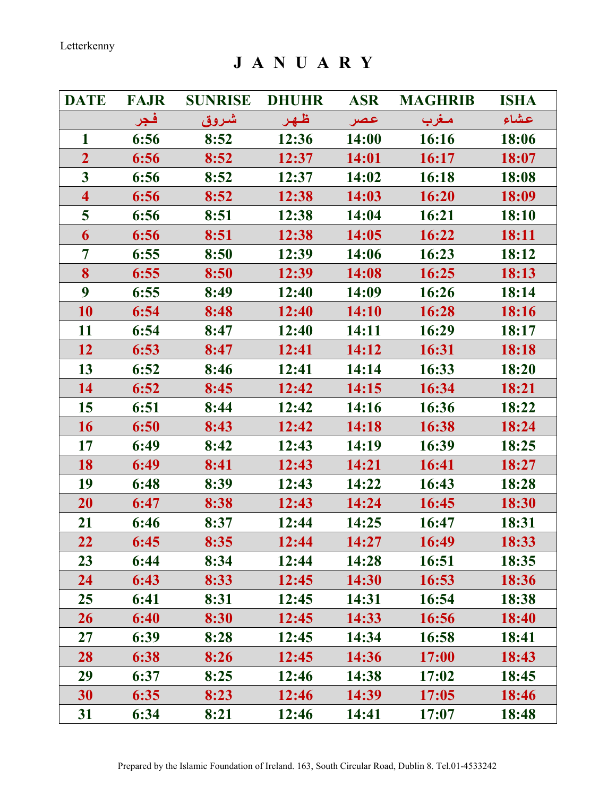J A N U A R Y

| <b>DATE</b>             | <b>FAJR</b> | <b>SUNRISE</b> | <b>DHUHR</b> | <b>ASR</b> | <b>MAGHRIB</b> | <b>ISHA</b> |
|-------------------------|-------------|----------------|--------------|------------|----------------|-------------|
|                         | فجر         | شروق           | ظهر          | عصر        | مغرب           | عشاء        |
| $\mathbf{1}$            | 6:56        | 8:52           | 12:36        | 14:00      | 16:16          | 18:06       |
| $\overline{2}$          | 6:56        | 8:52           | 12:37        | 14:01      | 16:17          | 18:07       |
| $\overline{\mathbf{3}}$ | 6:56        | 8:52           | 12:37        | 14:02      | 16:18          | 18:08       |
| $\overline{\mathbf{4}}$ | 6:56        | 8:52           | 12:38        | 14:03      | 16:20          | 18:09       |
| 5                       | 6:56        | 8:51           | 12:38        | 14:04      | 16:21          | 18:10       |
| 6                       | 6:56        | 8:51           | 12:38        | 14:05      | 16:22          | 18:11       |
| 7                       | 6:55        | 8:50           | 12:39        | 14:06      | 16:23          | 18:12       |
| 8                       | 6:55        | 8:50           | 12:39        | 14:08      | 16:25          | 18:13       |
| 9                       | 6:55        | 8:49           | 12:40        | 14:09      | 16:26          | 18:14       |
| 10                      | 6:54        | 8:48           | 12:40        | 14:10      | 16:28          | 18:16       |
| 11                      | 6:54        | 8:47           | 12:40        | 14:11      | 16:29          | 18:17       |
| 12                      | 6:53        | 8:47           | 12:41        | 14:12      | 16:31          | 18:18       |
| 13                      | 6:52        | 8:46           | 12:41        | 14:14      | 16:33          | 18:20       |
| 14                      | 6:52        | 8:45           | 12:42        | 14:15      | 16:34          | 18:21       |
| 15                      | 6:51        | 8:44           | 12:42        | 14:16      | 16:36          | 18:22       |
| 16                      | 6:50        | 8:43           | 12:42        | 14:18      | 16:38          | 18:24       |
| 17                      | 6:49        | 8:42           | 12:43        | 14:19      | 16:39          | 18:25       |
| 18                      | 6:49        | 8:41           | 12:43        | 14:21      | 16:41          | 18:27       |
| 19                      | 6:48        | 8:39           | 12:43        | 14:22      | 16:43          | 18:28       |
| <b>20</b>               | 6:47        | 8:38           | 12:43        | 14:24      | 16:45          | 18:30       |
| 21                      | 6:46        | 8:37           | 12:44        | 14:25      | 16:47          | 18:31       |
| 22                      | 6:45        | 8:35           | 12:44        | 14:27      | 16:49          | 18:33       |
| 23                      | 6:44        | 8:34           | 12:44        | 14:28      | 16:51          | 18:35       |
| 24                      | 6:43        | 8:33           | 12:45        | 14:30      | 16:53          | 18:36       |
| 25                      | 6:41        | 8:31           | 12:45        | 14:31      | 16:54          | 18:38       |
| 26                      | 6:40        | 8:30           | 12:45        | 14:33      | 16:56          | 18:40       |
| 27                      | 6:39        | 8:28           | 12:45        | 14:34      | 16:58          | 18:41       |
| 28                      | 6:38        | 8:26           | 12:45        | 14:36      | 17:00          | 18:43       |
| 29                      | 6:37        | 8:25           | 12:46        | 14:38      | 17:02          | 18:45       |
| 30                      | 6:35        | 8:23           | 12:46        | 14:39      | 17:05          | 18:46       |
| 31                      | 6:34        | 8:21           | 12:46        | 14:41      | 17:07          | 18:48       |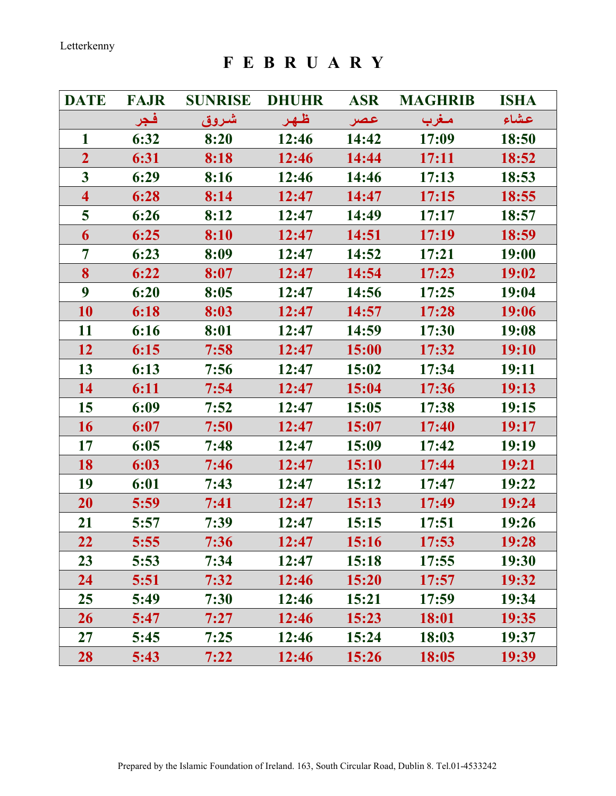F E B R U A R Y

| <b>DATE</b>             | <b>FAJR</b> | <b>SUNRISE</b> | <b>DHUHR</b> | <b>ASR</b>   | <b>MAGHRIB</b> | <b>ISHA</b> |
|-------------------------|-------------|----------------|--------------|--------------|----------------|-------------|
|                         | فجر         | شروق           | ظهر          | عصر          | مغرب           | عشاء        |
| 1                       | 6:32        | 8:20           | 12:46        | 14:42        | 17:09          | 18:50       |
| $\overline{2}$          | 6:31        | 8:18           | 12:46        | 14:44        | <b>17:11</b>   | 18:52       |
| $\overline{\mathbf{3}}$ | 6:29        | 8:16           | 12:46        | 14:46        | 17:13          | 18:53       |
| $\overline{\mathbf{4}}$ | 6:28        | 8:14           | 12:47        | 14:47        | 17:15          | 18:55       |
| 5                       | 6:26        | 8:12           | 12:47        | 14:49        | 17:17          | 18:57       |
| 6                       | 6:25        | 8:10           | 12:47        | 14:51        | 17:19          | 18:59       |
| 7                       | 6:23        | 8:09           | 12:47        | 14:52        | 17:21          | 19:00       |
| 8                       | 6:22        | 8:07           | 12:47        | 14:54        | 17:23          | 19:02       |
| $\boldsymbol{9}$        | 6:20        | 8:05           | 12:47        | 14:56        | 17:25          | 19:04       |
| 10                      | 6:18        | 8:03           | 12:47        | 14:57        | 17:28          | 19:06       |
| 11                      | 6:16        | 8:01           | 12:47        | 14:59        | 17:30          | 19:08       |
| 12                      | 6:15        | 7:58           | 12:47        | 15:00        | 17:32          | 19:10       |
| 13                      | 6:13        | 7:56           | 12:47        | 15:02        | 17:34          | 19:11       |
| 14                      | 6:11        | 7:54           | 12:47        | 15:04        | 17:36          | 19:13       |
| 15                      | 6:09        | 7:52           | 12:47        | 15:05        | 17:38          | 19:15       |
| 16                      | 6:07        | 7:50           | 12:47        | 15:07        | 17:40          | 19:17       |
| 17                      | 6:05        | 7:48           | 12:47        | 15:09        | 17:42          | 19:19       |
| 18                      | 6:03        | 7:46           | 12:47        | <b>15:10</b> | 17:44          | 19:21       |
| 19                      | 6:01        | 7:43           | 12:47        | 15:12        | 17:47          | 19:22       |
| <b>20</b>               | 5:59        | 7:41           | 12:47        | 15:13        | 17:49          | 19:24       |
| 21                      | 5:57        | 7:39           | 12:47        | 15:15        | 17:51          | 19:26       |
| 22                      | 5:55        | 7:36           | 12:47        | 15:16        | 17:53          | 19:28       |
| 23                      | 5:53        | 7:34           | 12:47        | 15:18        | 17:55          | 19:30       |
| 24                      | 5:51        | 7:32           | 12:46        | 15:20        | 17:57          | 19:32       |
| 25                      | 5:49        | 7:30           | 12:46        | 15:21        | 17:59          | 19:34       |
| 26                      | 5:47        | 7:27           | 12:46        | 15:23        | 18:01          | 19:35       |
| 27                      | 5:45        | 7:25           | 12:46        | 15:24        | 18:03          | 19:37       |
| 28                      | 5:43        | 7:22           | 12:46        | 15:26        | 18:05          | 19:39       |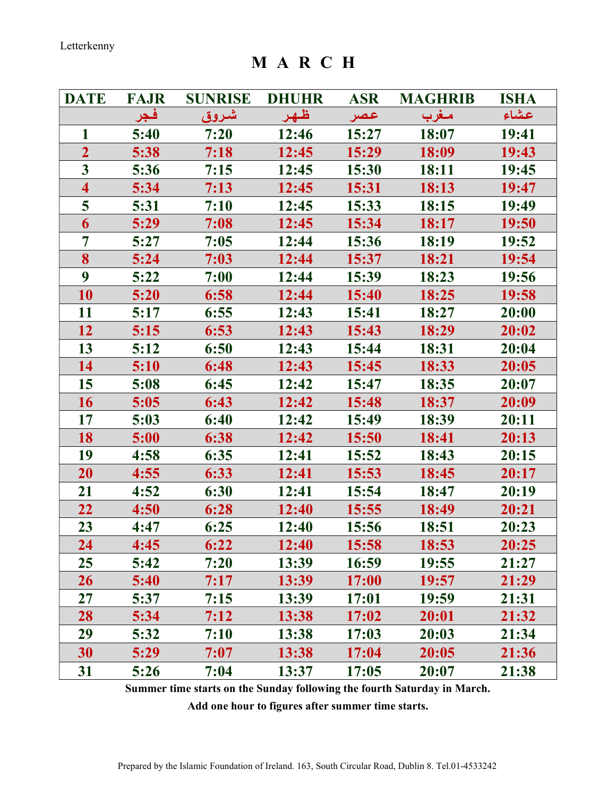M A R C H

| <b>DATE</b>             | <b>FAJR</b> | <b>SUNRISE</b> | <b>DHUHR</b> | <b>ASR</b> | <b>MAGHRIB</b> | <b>ISHA</b> |
|-------------------------|-------------|----------------|--------------|------------|----------------|-------------|
|                         | فجر         | شروق           | ظهر          | عصر        | مغرب           | عشاء        |
| $\mathbf{1}$            | 5:40        | 7:20           | 12:46        | 15:27      | 18:07          | 19:41       |
| $\overline{2}$          | 5:38        | 7:18           | 12:45        | 15:29      | 18:09          | 19:43       |
| $\overline{\mathbf{3}}$ | 5:36        | 7:15           | 12:45        | 15:30      | 18:11          | 19:45       |
| $\overline{\mathbf{4}}$ | 5:34        | 7:13           | 12:45        | 15:31      | 18:13          | 19:47       |
| 5                       | 5:31        | 7:10           | 12:45        | 15:33      | 18:15          | 19:49       |
| 6                       | 5:29        | 7:08           | 12:45        | 15:34      | 18:17          | 19:50       |
| 7                       | 5:27        | 7:05           | 12:44        | 15:36      | 18:19          | 19:52       |
| 8                       | 5:24        | 7:03           | 12:44        | 15:37      | 18:21          | 19:54       |
| 9                       | 5:22        | 7:00           | 12:44        | 15:39      | 18:23          | 19:56       |
| 10                      | 5:20        | 6:58           | 12:44        | 15:40      | 18:25          | 19:58       |
| 11                      | 5:17        | 6:55           | 12:43        | 15:41      | 18:27          | 20:00       |
| 12                      | 5:15        | 6:53           | 12:43        | 15:43      | 18:29          | 20:02       |
| 13                      | 5:12        | 6:50           | 12:43        | 15:44      | 18:31          | 20:04       |
| 14                      | 5:10        | 6:48           | 12:43        | 15:45      | 18:33          | 20:05       |
| 15                      | 5:08        | 6:45           | 12:42        | 15:47      | 18:35          | 20:07       |
| 16                      | 5:05        | 6:43           | 12:42        | 15:48      | 18:37          | 20:09       |
| 17                      | 5:03        | 6:40           | 12:42        | 15:49      | 18:39          | 20:11       |
| 18                      | 5:00        | 6:38           | 12:42        | 15:50      | 18:41          | 20:13       |
| 19                      | 4:58        | 6:35           | 12:41        | 15:52      | 18:43          | 20:15       |
| 20                      | 4:55        | 6:33           | 12:41        | 15:53      | 18:45          | 20:17       |
| 21                      | 4:52        | 6:30           | 12:41        | 15:54      | 18:47          | 20:19       |
| 22                      | 4:50        | 6:28           | 12:40        | 15:55      | 18:49          | 20:21       |
| 23                      | 4:47        | 6:25           | 12:40        | 15:56      | 18:51          | 20:23       |
| 24                      | 4:45        | 6:22           | 12:40        | 15:58      | 18:53          | 20:25       |
| 25                      | 5:42        | 7:20           | 13:39        | 16:59      | 19:55          | 21:27       |
| 26                      | 5:40        | 7:17           | 13:39        | 17:00      | 19:57          | 21:29       |
| 27                      | 5:37        | 7:15           | 13:39        | 17:01      | 19:59          | 21:31       |
| 28                      | 5:34        | 7:12           | 13:38        | 17:02      | 20:01          | 21:32       |
| 29                      | 5:32        | 7:10           | 13:38        | 17:03      | 20:03          | 21:34       |
| 30                      | 5:29        | 7:07           | 13:38        | 17:04      | 20:05          | 21:36       |
| 31                      | 5:26        | 7:04           | 13:37        | 17:05      | 20:07          | 21:38       |

Summer time starts on the Sunday following the fourth Saturday in March.

Add one hour to figures after summer time starts.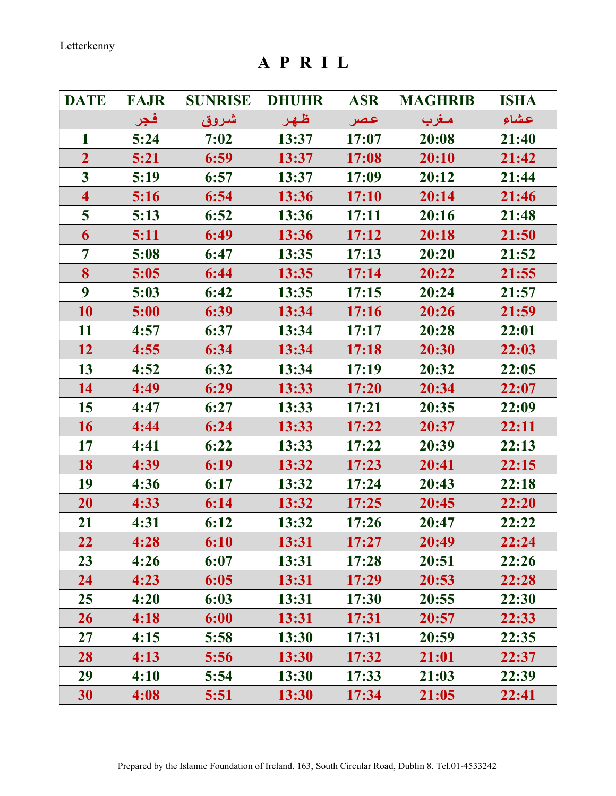A P R I L

| <b>DATE</b>             | <b>FAJR</b> | <b>SUNRISE</b> | <b>DHUHR</b> | <b>ASR</b> | <b>MAGHRIB</b> | <b>ISHA</b> |
|-------------------------|-------------|----------------|--------------|------------|----------------|-------------|
|                         | فجر         | شروق           | ظهر          | عصر        | مغرب           | عشاء        |
| $\mathbf{1}$            | 5:24        | 7:02           | 13:37        | 17:07      | 20:08          | 21:40       |
| $\overline{2}$          | 5:21        | 6:59           | 13:37        | 17:08      | 20:10          | 21:42       |
| $\mathbf{3}$            | 5:19        | 6:57           | 13:37        | 17:09      | 20:12          | 21:44       |
| $\overline{\mathbf{4}}$ | 5:16        | 6:54           | 13:36        | 17:10      | 20:14          | 21:46       |
| 5                       | 5:13        | 6:52           | 13:36        | 17:11      | 20:16          | 21:48       |
| 6                       | 5:11        | 6:49           | 13:36        | 17:12      | 20:18          | 21:50       |
| 7                       | 5:08        | 6:47           | 13:35        | 17:13      | 20:20          | 21:52       |
| 8                       | 5:05        | 6:44           | 13:35        | 17:14      | 20:22          | 21:55       |
| 9                       | 5:03        | 6:42           | 13:35        | 17:15      | 20:24          | 21:57       |
| 10                      | 5:00        | 6:39           | 13:34        | 17:16      | 20:26          | 21:59       |
| 11                      | 4:57        | 6:37           | 13:34        | 17:17      | 20:28          | 22:01       |
| 12                      | 4:55        | 6:34           | 13:34        | 17:18      | 20:30          | 22:03       |
| 13                      | 4:52        | 6:32           | 13:34        | 17:19      | 20:32          | 22:05       |
| 14                      | 4:49        | 6:29           | 13:33        | 17:20      | 20:34          | 22:07       |
| 15                      | 4:47        | 6:27           | 13:33        | 17:21      | 20:35          | 22:09       |
| 16                      | 4:44        | 6:24           | 13:33        | 17:22      | 20:37          | 22:11       |
| 17                      | 4:41        | 6:22           | 13:33        | 17:22      | 20:39          | 22:13       |
| 18                      | 4:39        | 6:19           | 13:32        | 17:23      | 20:41          | 22:15       |
| 19                      | 4:36        | 6:17           | 13:32        | 17:24      | 20:43          | 22:18       |
| 20                      | 4:33        | 6:14           | 13:32        | 17:25      | 20:45          | 22:20       |
| 21                      | 4:31        | 6:12           | 13:32        | 17:26      | 20:47          | 22:22       |
| 22                      | 4:28        | 6:10           | 13:31        | 17:27      | 20:49          | 22:24       |
| 23                      | 4:26        | 6:07           | 13:31        | 17:28      | 20:51          | 22:26       |
| 24                      | 4:23        | 6:05           | 13:31        | 17:29      | 20:53          | 22:28       |
| 25                      | 4:20        | 6:03           | 13:31        | 17:30      | 20:55          | 22:30       |
| 26                      | 4:18        | 6:00           | 13:31        | 17:31      | 20:57          | 22:33       |
| 27                      | 4:15        | 5:58           | 13:30        | 17:31      | 20:59          | 22:35       |
| 28                      | 4:13        | 5:56           | 13:30        | 17:32      | 21:01          | 22:37       |
| 29                      | 4:10        | 5:54           | 13:30        | 17:33      | 21:03          | 22:39       |
| 30                      | 4:08        | 5:51           | 13:30        | 17:34      | 21:05          | 22:41       |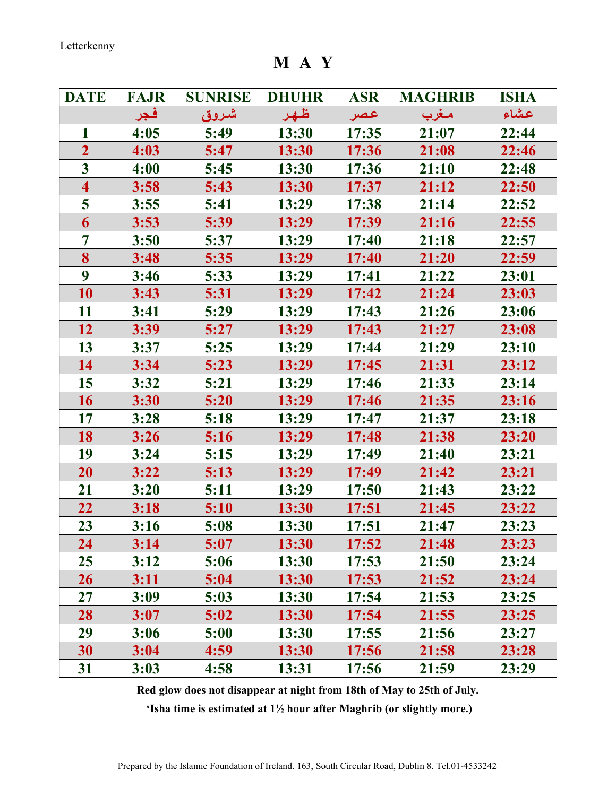M A Y

| <b>DATE</b>             | <b>FAJR</b> | <b>SUNRISE</b> | <b>DHUHR</b> | <b>ASR</b> | <b>MAGHRIB</b> | <b>ISHA</b> |
|-------------------------|-------------|----------------|--------------|------------|----------------|-------------|
|                         | فجر         | شروق           | ظهر          | عصر        | مغرب           | عشاء        |
| 1                       | 4:05        | 5:49           | 13:30        | 17:35      | 21:07          | 22:44       |
| $\overline{2}$          | 4:03        | 5:47           | 13:30        | 17:36      | 21:08          | 22:46       |
| $\overline{\mathbf{3}}$ | 4:00        | 5:45           | 13:30        | 17:36      | 21:10          | 22:48       |
| $\overline{\mathbf{4}}$ | 3:58        | 5:43           | 13:30        | 17:37      | 21:12          | 22:50       |
| 5                       | 3:55        | 5:41           | 13:29        | 17:38      | 21:14          | 22:52       |
| 6                       | 3:53        | 5:39           | 13:29        | 17:39      | 21:16          | 22:55       |
| 7                       | 3:50        | 5:37           | 13:29        | 17:40      | 21:18          | 22:57       |
| 8                       | 3:48        | 5:35           | 13:29        | 17:40      | 21:20          | 22:59       |
| 9                       | 3:46        | 5:33           | 13:29        | 17:41      | 21:22          | 23:01       |
| 10                      | 3:43        | 5:31           | 13:29        | 17:42      | 21:24          | 23:03       |
| 11                      | 3:41        | 5:29           | 13:29        | 17:43      | 21:26          | 23:06       |
| 12                      | 3:39        | 5:27           | 13:29        | 17:43      | 21:27          | 23:08       |
| 13                      | 3:37        | 5:25           | 13:29        | 17:44      | 21:29          | 23:10       |
| 14                      | 3:34        | 5:23           | 13:29        | 17:45      | 21:31          | 23:12       |
| 15                      | 3:32        | 5:21           | 13:29        | 17:46      | 21:33          | 23:14       |
| 16                      | 3:30        | 5:20           | 13:29        | 17:46      | 21:35          | 23:16       |
| 17                      | 3:28        | 5:18           | 13:29        | 17:47      | 21:37          | 23:18       |
| 18                      | 3:26        | 5:16           | 13:29        | 17:48      | 21:38          | 23:20       |
| 19                      | 3:24        | 5:15           | 13:29        | 17:49      | 21:40          | 23:21       |
| 20                      | 3:22        | 5:13           | 13:29        | 17:49      | 21:42          | 23:21       |
| 21                      | 3:20        | 5:11           | 13:29        | 17:50      | 21:43          | 23:22       |
| 22                      | 3:18        | 5:10           | 13:30        | 17:51      | 21:45          | 23:22       |
| 23                      | 3:16        | 5:08           | 13:30        | 17:51      | 21:47          | 23:23       |
| 24                      | 3:14        | 5:07           | 13:30        | 17:52      | 21:48          | 23:23       |
| 25                      | 3:12        | 5:06           | 13:30        | 17:53      | 21:50          | 23:24       |
| 26                      | 3:11        | 5:04           | 13:30        | 17:53      | 21:52          | 23:24       |
| $27\,$                  | 3:09        | 5:03           | 13:30        | 17:54      | 21:53          | 23:25       |
| 28                      | 3:07        | 5:02           | 13:30        | 17:54      | 21:55          | 23:25       |
| 29                      | 3:06        | 5:00           | 13:30        | 17:55      | 21:56          | 23:27       |
| 30                      | 3:04        | 4:59           | 13:30        | 17:56      | 21:58          | 23:28       |
| 31                      | 3:03        | 4:58           | 13:31        | 17:56      | 21:59          | 23:29       |

Red glow does not disappear at night from 18th of May to 25th of July.

'Isha time is estimated at 1½ hour after Maghrib (or slightly more.)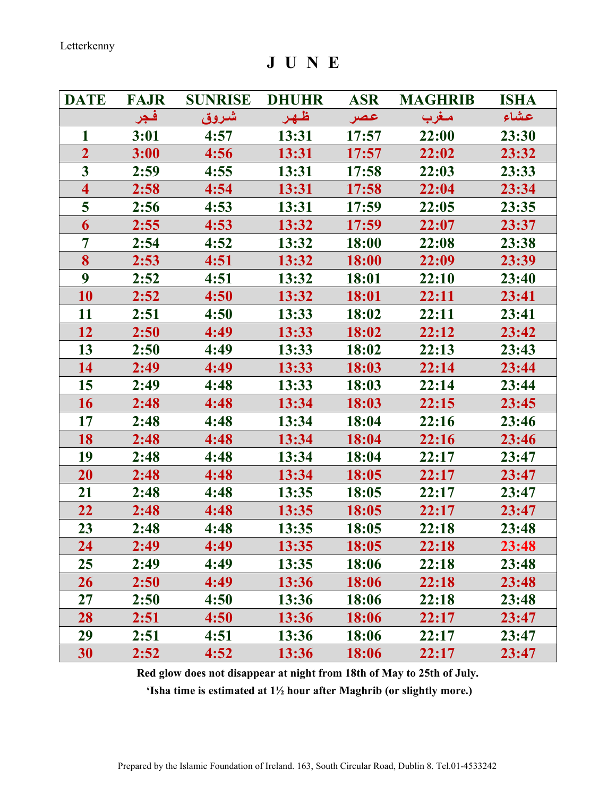J U N E

| <b>DATE</b>             | <b>FAJR</b> | <b>SUNRISE</b> | <b>DHUHR</b> | <b>ASR</b> | <b>MAGHRIB</b> | <b>ISHA</b> |
|-------------------------|-------------|----------------|--------------|------------|----------------|-------------|
|                         | فجر         | شروق           | ظهر          | عصر        | مغرب           | عشاء        |
| 1                       | 3:01        | 4:57           | 13:31        | 17:57      | 22:00          | 23:30       |
| $\overline{2}$          | 3:00        | 4:56           | 13:31        | 17:57      | 22:02          | 23:32       |
| $\overline{\mathbf{3}}$ | 2:59        | 4:55           | 13:31        | 17:58      | 22:03          | 23:33       |
| $\overline{\mathbf{4}}$ | 2:58        | 4:54           | 13:31        | 17:58      | 22:04          | 23:34       |
| 5                       | 2:56        | 4:53           | 13:31        | 17:59      | 22:05          | 23:35       |
| 6                       | 2:55        | 4:53           | 13:32        | 17:59      | 22:07          | 23:37       |
| 7                       | 2:54        | 4:52           | 13:32        | 18:00      | 22:08          | 23:38       |
| 8                       | 2:53        | 4:51           | 13:32        | 18:00      | 22:09          | 23:39       |
| $\boldsymbol{9}$        | 2:52        | 4:51           | 13:32        | 18:01      | 22:10          | 23:40       |
| 10                      | 2:52        | 4:50           | 13:32        | 18:01      | 22:11          | 23:41       |
| 11                      | 2:51        | 4:50           | 13:33        | 18:02      | 22:11          | 23:41       |
| 12                      | 2:50        | 4:49           | 13:33        | 18:02      | 22:12          | 23:42       |
| 13                      | 2:50        | 4:49           | 13:33        | 18:02      | 22:13          | 23:43       |
| 14                      | 2:49        | 4:49           | 13:33        | 18:03      | 22:14          | 23:44       |
| 15                      | 2:49        | 4:48           | 13:33        | 18:03      | 22:14          | 23:44       |
| 16                      | 2:48        | 4:48           | 13:34        | 18:03      | 22:15          | 23:45       |
| 17                      | 2:48        | 4:48           | 13:34        | 18:04      | 22:16          | 23:46       |
| 18                      | 2:48        | 4:48           | 13:34        | 18:04      | 22:16          | 23:46       |
| 19                      | 2:48        | 4:48           | 13:34        | 18:04      | 22:17          | 23:47       |
| 20                      | 2:48        | 4:48           | 13:34        | 18:05      | 22:17          | 23:47       |
| 21                      | 2:48        | 4:48           | 13:35        | 18:05      | 22:17          | 23:47       |
| 22                      | 2:48        | 4:48           | 13:35        | 18:05      | 22:17          | 23:47       |
| 23                      | 2:48        | 4:48           | 13:35        | 18:05      | 22:18          | 23:48       |
| 24                      | 2:49        | 4:49           | 13:35        | 18:05      | 22:18          | 23:48       |
| 25                      | 2:49        | 4:49           | 13:35        | 18:06      | 22:18          | 23:48       |
| 26                      | 2:50        | 4:49           | 13:36        | 18:06      | 22:18          | 23:48       |
| 27                      | 2:50        | 4:50           | 13:36        | 18:06      | 22:18          | 23:48       |
| 28                      | 2:51        | 4:50           | 13:36        | 18:06      | 22:17          | 23:47       |
| 29                      | 2:51        | 4:51           | 13:36        | 18:06      | 22:17          | 23:47       |
| 30                      | 2:52        | 4:52           | 13:36        | 18:06      | 22:17          | 23:47       |

Red glow does not disappear at night from 18th of May to 25th of July.

'Isha time is estimated at 1½ hour after Maghrib (or slightly more.)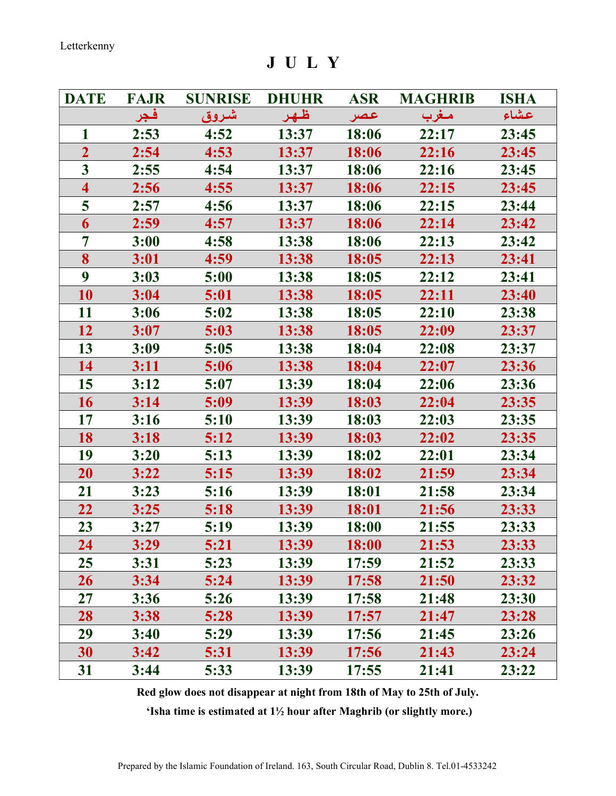J U L Y

| <b>DATE</b>             | <b>FAJR</b> | <b>SUNRISE</b> | <b>DHUHR</b> | <b>ASR</b> | <b>MAGHRIB</b> | <b>ISHA</b> |
|-------------------------|-------------|----------------|--------------|------------|----------------|-------------|
|                         | فجر         | شروق           | ظهر          | عصر        | مغرب           | عشاء        |
| 1                       | 2:53        | 4:52           | 13:37        | 18:06      | 22:17          | 23:45       |
| $\overline{2}$          | 2:54        | 4:53           | 13:37        | 18:06      | 22:16          | 23:45       |
| $\overline{3}$          | 2:55        | 4:54           | 13:37        | 18:06      | 22:16          | 23:45       |
| $\overline{\mathbf{4}}$ | 2:56        | 4:55           | 13:37        | 18:06      | 22:15          | 23:45       |
| 5                       | 2:57        | 4:56           | 13:37        | 18:06      | 22:15          | 23:44       |
| 6                       | 2:59        | 4:57           | 13:37        | 18:06      | 22:14          | 23:42       |
| $\overline{7}$          | 3:00        | 4:58           | 13:38        | 18:06      | 22:13          | 23:42       |
| 8                       | 3:01        | 4:59           | 13:38        | 18:05      | 22:13          | 23:41       |
| 9                       | 3:03        | 5:00           | 13:38        | 18:05      | 22:12          | 23:41       |
| 10                      | 3:04        | 5:01           | 13:38        | 18:05      | 22:11          | 23:40       |
| 11                      | 3:06        | 5:02           | 13:38        | 18:05      | 22:10          | 23:38       |
| 12                      | 3:07        | 5:03           | 13:38        | 18:05      | 22:09          | 23:37       |
| 13                      | 3:09        | 5:05           | 13:38        | 18:04      | 22:08          | 23:37       |
| 14                      | 3:11        | 5:06           | 13:38        | 18:04      | 22:07          | 23:36       |
| 15                      | 3:12        | 5:07           | 13:39        | 18:04      | 22:06          | 23:36       |
| 16                      | 3:14        | 5:09           | 13:39        | 18:03      | 22:04          | 23:35       |
| 17                      | 3:16        | 5:10           | 13:39        | 18:03      | 22:03          | 23:35       |
| 18                      | 3:18        | 5:12           | 13:39        | 18:03      | 22:02          | 23:35       |
| 19                      | 3:20        | 5:13           | 13:39        | 18:02      | 22:01          | 23:34       |
| 20                      | 3:22        | 5:15           | 13:39        | 18:02      | 21:59          | 23:34       |
| 21                      | 3:23        | 5:16           | 13:39        | 18:01      | 21:58          | 23:34       |
| 22                      | 3:25        | 5:18           | 13:39        | 18:01      | 21:56          | 23:33       |
| 23                      | 3:27        | 5:19           | 13:39        | 18:00      | 21:55          | 23:33       |
| 24                      | 3:29        | 5:21           | 13:39        | 18:00      | 21:53          | 23:33       |
| 25                      | 3:31        | 5:23           | 13:39        | 17:59      | 21:52          | 23:33       |
| <b>26</b>               | 3:34        | 5:24           | 13:39        | 17:58      | 21:50          | 23:32       |
| 27                      | 3:36        | 5:26           | 13:39        | 17:58      | 21:48          | 23:30       |
| 28                      | 3:38        | 5:28           | 13:39        | 17:57      | 21:47          | 23:28       |
| 29                      | 3:40        | 5:29           | 13:39        | 17:56      | 21:45          | 23:26       |
| 30                      | 3:42        | 5:31           | 13:39        | 17:56      | 21:43          | 23:24       |
| 31                      | 3:44        | 5:33           | 13:39        | 17:55      | 21:41          | 23:22       |

Red glow does not disappear at night from 18th of May to 25th of July.

'Isha time is estimated at 1½ hour after Maghrib (or slightly more.)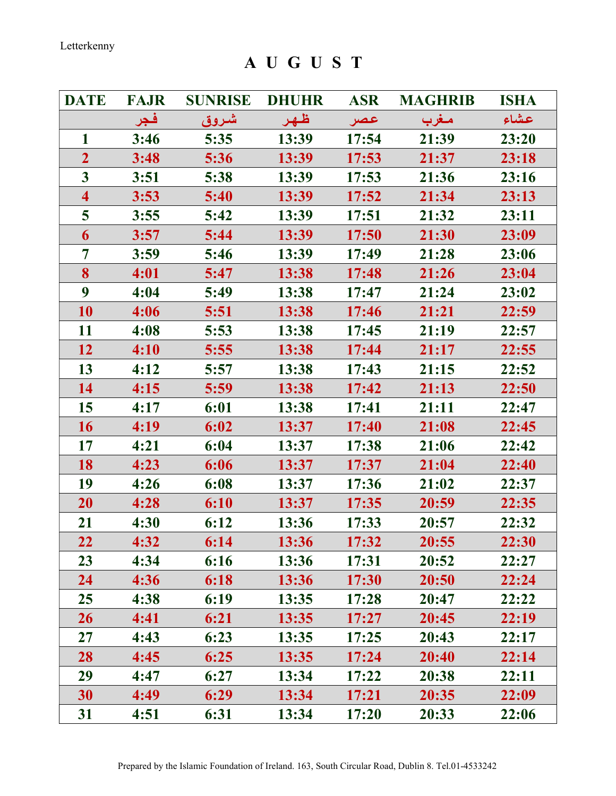A U G U S T

| <b>DATE</b>             | <b>FAJR</b> | <b>SUNRISE</b> | <b>DHUHR</b> | <b>ASR</b>   | <b>MAGHRIB</b> | <b>ISHA</b> |
|-------------------------|-------------|----------------|--------------|--------------|----------------|-------------|
|                         | فجر         | شروق           | ظهر          | عصر          | مغرب           | عشاء        |
| 1                       | 3:46        | 5:35           | 13:39        | 17:54        | 21:39          | 23:20       |
| $\overline{2}$          | 3:48        | 5:36           | 13:39        | 17:53        | 21:37          | 23:18       |
| $\overline{\mathbf{3}}$ | 3:51        | 5:38           | 13:39        | 17:53        | 21:36          | 23:16       |
| $\overline{\mathbf{4}}$ | 3:53        | 5:40           | 13:39        | 17:52        | 21:34          | 23:13       |
| 5                       | 3:55        | 5:42           | 13:39        | 17:51        | 21:32          | 23:11       |
| 6                       | 3:57        | 5:44           | 13:39        | 17:50        | 21:30          | 23:09       |
| 7                       | 3:59        | 5:46           | 13:39        | 17:49        | 21:28          | 23:06       |
| 8                       | 4:01        | 5:47           | 13:38        | 17:48        | 21:26          | 23:04       |
| 9                       | 4:04        | 5:49           | 13:38        | 17:47        | 21:24          | 23:02       |
| 10                      | 4:06        | 5:51           | 13:38        | 17:46        | 21:21          | 22:59       |
| 11                      | 4:08        | 5:53           | 13:38        | 17:45        | 21:19          | 22:57       |
| 12                      | 4:10        | 5:55           | 13:38        | 17:44        | 21:17          | 22:55       |
| 13                      | 4:12        | 5:57           | 13:38        | 17:43        | 21:15          | 22:52       |
| 14                      | 4:15        | 5:59           | 13:38        | 17:42        | 21:13          | 22:50       |
| 15                      | 4:17        | 6:01           | 13:38        | 17:41        | 21:11          | 22:47       |
| 16                      | 4:19        | 6:02           | 13:37        | 17:40        | 21:08          | 22:45       |
| 17                      | 4:21        | 6:04           | 13:37        | 17:38        | 21:06          | 22:42       |
| 18                      | 4:23        | 6:06           | 13:37        | 17:37        | 21:04          | 22:40       |
| 19                      | 4:26        | 6:08           | 13:37        | 17:36        | 21:02          | 22:37       |
| 20                      | 4:28        | 6:10           | 13:37        | 17:35        | 20:59          | 22:35       |
| 21                      | 4:30        | 6:12           | 13:36        | 17:33        | 20:57          | 22:32       |
| 22                      | 4:32        | 6:14           | 13:36        | 17:32        | 20:55          | 22:30       |
| 23                      | 4:34        | 6:16           | 13:36        | 17:31        | 20:52          | 22:27       |
| 24                      | 4:36        | 6:18           | 13:36        | <b>17:30</b> | 20:50          | 22:24       |
| 25                      | 4:38        | 6:19           | 13:35        | 17:28        | 20:47          | 22:22       |
| 26                      | 4:41        | 6:21           | 13:35        | 17:27        | 20:45          | 22:19       |
| 27                      | 4:43        | 6:23           | 13:35        | 17:25        | 20:43          | 22:17       |
| 28                      | 4:45        | 6:25           | 13:35        | 17:24        | 20:40          | 22:14       |
| 29                      | 4:47        | 6:27           | 13:34        | 17:22        | 20:38          | 22:11       |
| 30                      | 4:49        | 6:29           | 13:34        | 17:21        | 20:35          | 22:09       |
| 31                      | 4:51        | 6:31           | 13:34        | 17:20        | 20:33          | 22:06       |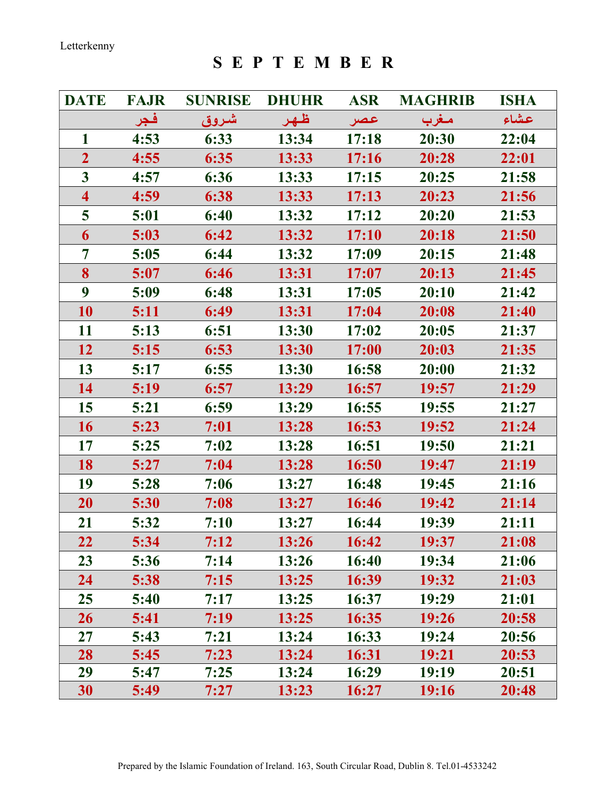S E P T E M B E R

| <b>DATE</b>             | <b>FAJR</b> | <b>SUNRISE</b> | <b>DHUHR</b> | <b>ASR</b> | <b>MAGHRIB</b> | <b>ISHA</b> |
|-------------------------|-------------|----------------|--------------|------------|----------------|-------------|
|                         | فجر         | شروق           | ظهر          | عصر        | مغرب           | عشاء        |
| $\mathbf{1}$            | 4:53        | 6:33           | 13:34        | 17:18      | 20:30          | 22:04       |
| $\overline{2}$          | 4:55        | 6:35           | 13:33        | 17:16      | 20:28          | 22:01       |
| $\overline{\mathbf{3}}$ | 4:57        | 6:36           | 13:33        | 17:15      | 20:25          | 21:58       |
| $\overline{\mathbf{4}}$ | 4:59        | 6:38           | 13:33        | 17:13      | 20:23          | 21:56       |
| 5                       | 5:01        | 6:40           | 13:32        | 17:12      | 20:20          | 21:53       |
| 6                       | 5:03        | 6:42           | 13:32        | 17:10      | 20:18          | 21:50       |
| 7                       | 5:05        | 6:44           | 13:32        | 17:09      | 20:15          | 21:48       |
| 8                       | 5:07        | 6:46           | 13:31        | 17:07      | 20:13          | 21:45       |
| 9                       | 5:09        | 6:48           | 13:31        | 17:05      | 20:10          | 21:42       |
| 10                      | 5:11        | 6:49           | 13:31        | 17:04      | 20:08          | 21:40       |
| 11                      | 5:13        | 6:51           | 13:30        | 17:02      | 20:05          | 21:37       |
| 12                      | 5:15        | 6:53           | 13:30        | 17:00      | 20:03          | 21:35       |
| 13                      | 5:17        | 6:55           | 13:30        | 16:58      | 20:00          | 21:32       |
| 14                      | 5:19        | 6:57           | 13:29        | 16:57      | 19:57          | 21:29       |
| 15                      | 5:21        | 6:59           | 13:29        | 16:55      | 19:55          | 21:27       |
| 16                      | 5:23        | 7:01           | 13:28        | 16:53      | 19:52          | 21:24       |
| 17                      | 5:25        | 7:02           | 13:28        | 16:51      | 19:50          | 21:21       |
| 18                      | 5:27        | 7:04           | 13:28        | 16:50      | 19:47          | 21:19       |
| 19                      | 5:28        | 7:06           | 13:27        | 16:48      | 19:45          | 21:16       |
| 20                      | 5:30        | 7:08           | 13:27        | 16:46      | 19:42          | 21:14       |
| 21                      | 5:32        | 7:10           | 13:27        | 16:44      | 19:39          | 21:11       |
| 22                      | 5:34        | 7:12           | 13:26        | 16:42      | 19:37          | 21:08       |
| 23                      | 5:36        | 7:14           | 13:26        | 16:40      | 19:34          | 21:06       |
| 24                      | 5:38        | 7:15           | 13:25        | 16:39      | 19:32          | 21:03       |
| 25                      | 5:40        | 7:17           | 13:25        | 16:37      | 19:29          | 21:01       |
| 26                      | 5:41        | 7:19           | 13:25        | 16:35      | 19:26          | 20:58       |
| 27                      | 5:43        | 7:21           | 13:24        | 16:33      | 19:24          | 20:56       |
| 28                      | 5:45        | 7:23           | 13:24        | 16:31      | 19:21          | 20:53       |
| 29                      | 5:47        | 7:25           | 13:24        | 16:29      | 19:19          | 20:51       |
| 30                      | 5:49        | 7:27           | 13:23        | 16:27      | 19:16          | 20:48       |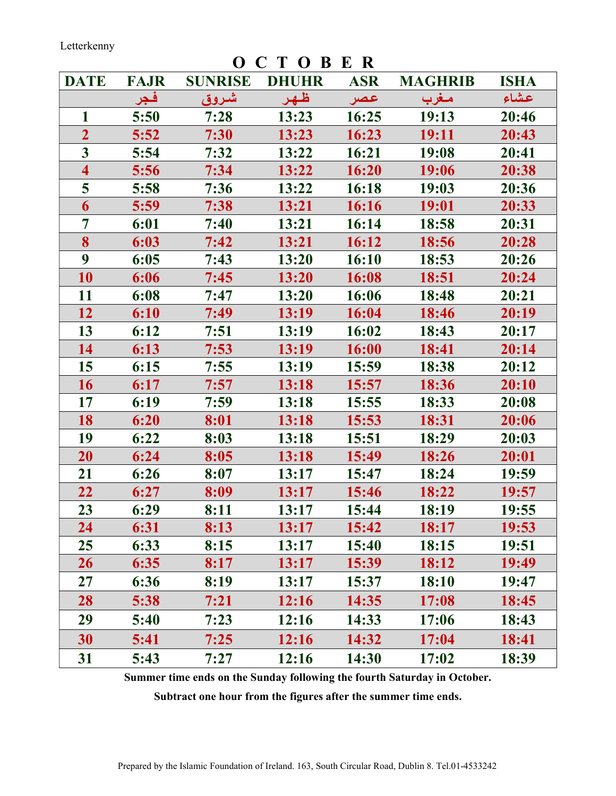**O C T O B E R**<br>SE DHUHR ASR DATE FAJR SUNRISE DHUHR ASR MAGHRIB ISHA عـشاء مـغرب عـصر ظـهـر شـروق فـجر 1 5:50 7:28 13:23 16:25 19:13 20:46 2 5:52 7:30 13:23 16:23 19:11 20:43 3 5:54 7:32 13:22 16:21 19:08 20:41 4 5:56 7:34 13:22 16:20 19:06 20:38 5 5:58 7:36 13:22 16:18 19:03 20:36 6 5:59 7:38 13:21 16:16 19:01 20:33 7 6:01 7:40 13:21 16:14 18:58 20:31 8 6:03 7:42 13:21 16:12 18:56 20:28 9 6:05 7:43 13:20 16:10 18:53 20:26 10 6:06 7:45 13:20 16:08 18:51 20:24 11 6:08 7:47 13:20 16:06 18:48 20:21 12 6:10 7:49 13:19 16:04 18:46 20:19 13 6:12 7:51 13:19 16:02 18:43 20:17 14 6:13 7:53 13:19 16:00 18:41 20:14 15 6:15 7:55 13:19 15:59 18:38 20:12 16 6:17 7:57 13:18 15:57 18:36 20:10 17 6:19 7:59 13:18 15:55 18:33 20:08 18 6:20 8:01 13:18 15:53 18:31 20:06 19 6:22 8:03 13:18 15:51 18:29 20:03 20 6:24 8:05 13:18 15:49 18:26 20:01 21 6:26 8:07 13:17 15:47 18:24 19:59 22 6:27 8:09 13:17 15:46 18:22 19:57 23 6:29 8:11 13:17 15:44 18:19 19:55 24 6:31 8:13 13:17 15:42 18:17 19:53 25 6:33 8:15 13:17 15:40 18:15 19:51 26 6:35 8:17 13:17 15:39 18:12 19:49 27 6:36 8:19 13:17 15:37 18:10 19:47 28 5:38 7:21 12:16 14:35 17:08 18:45 29 5:40 7:23 12:16 14:33 17:06 18:43 30 5:41 7:25 12:16 14:32 17:04 18:41 31 5:43 7:27 12:16 14:30 17:02 18:39

Summer time ends on the Sunday following the fourth Saturday in October.

Subtract one hour from the figures after the summer time ends.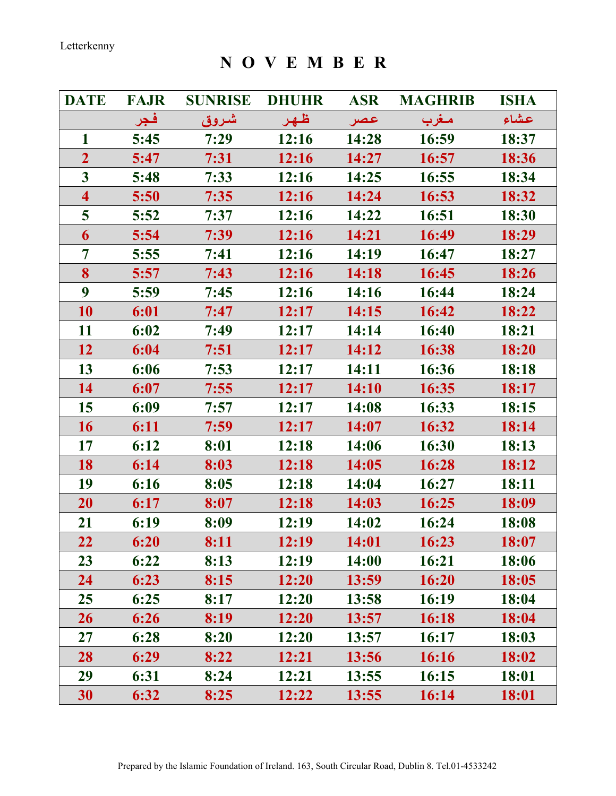N O V E M B E R

| <b>DATE</b>             | <b>FAJR</b> | <b>SUNRISE</b> | <b>DHUHR</b> | <b>ASR</b> | <b>MAGHRIB</b> | <b>ISHA</b> |
|-------------------------|-------------|----------------|--------------|------------|----------------|-------------|
|                         | فجر         | شروق           | ظهر          | عصر        | مغرب           | عشاء        |
| $\mathbf{1}$            | 5:45        | 7:29           | 12:16        | 14:28      | 16:59          | 18:37       |
| $\overline{2}$          | 5:47        | 7:31           | 12:16        | 14:27      | 16:57          | 18:36       |
| $\mathbf{3}$            | 5:48        | 7:33           | 12:16        | 14:25      | 16:55          | 18:34       |
| $\overline{\mathbf{4}}$ | 5:50        | 7:35           | 12:16        | 14:24      | 16:53          | 18:32       |
| 5                       | 5:52        | 7:37           | 12:16        | 14:22      | 16:51          | 18:30       |
| 6                       | 5:54        | 7:39           | 12:16        | 14:21      | 16:49          | 18:29       |
| 7                       | 5:55        | 7:41           | 12:16        | 14:19      | 16:47          | 18:27       |
| 8                       | 5:57        | 7:43           | 12:16        | 14:18      | 16:45          | 18:26       |
| $\boldsymbol{9}$        | 5:59        | 7:45           | 12:16        | 14:16      | 16:44          | 18:24       |
| 10                      | 6:01        | 7:47           | 12:17        | 14:15      | 16:42          | 18:22       |
| 11                      | 6:02        | 7:49           | 12:17        | 14:14      | 16:40          | 18:21       |
| 12                      | 6:04        | 7:51           | 12:17        | 14:12      | 16:38          | 18:20       |
| 13                      | 6:06        | 7:53           | 12:17        | 14:11      | 16:36          | 18:18       |
| 14                      | 6:07        | 7:55           | 12:17        | 14:10      | 16:35          | 18:17       |
| 15                      | 6:09        | 7:57           | 12:17        | 14:08      | 16:33          | 18:15       |
| 16                      | 6:11        | 7:59           | 12:17        | 14:07      | 16:32          | 18:14       |
| 17                      | 6:12        | 8:01           | 12:18        | 14:06      | 16:30          | 18:13       |
| 18                      | 6:14        | 8:03           | 12:18        | 14:05      | 16:28          | 18:12       |
| 19                      | 6:16        | 8:05           | 12:18        | 14:04      | 16:27          | 18:11       |
| 20                      | 6:17        | 8:07           | 12:18        | 14:03      | 16:25          | 18:09       |
| 21                      | 6:19        | 8:09           | 12:19        | 14:02      | 16:24          | 18:08       |
| 22                      | 6:20        | 8:11           | 12:19        | 14:01      | 16:23          | 18:07       |
| 23                      | 6:22        | 8:13           | 12:19        | 14:00      | 16:21          | 18:06       |
| 24                      | 6:23        | 8:15           | 12:20        | 13:59      | 16:20          | 18:05       |
| 25                      | 6:25        | 8:17           | 12:20        | 13:58      | 16:19          | 18:04       |
| 26                      | 6:26        | 8:19           | 12:20        | 13:57      | 16:18          | 18:04       |
| 27                      | 6:28        | 8:20           | 12:20        | 13:57      | 16:17          | 18:03       |
| 28                      | 6:29        | 8:22           | 12:21        | 13:56      | 16:16          | 18:02       |
| 29                      | 6:31        | 8:24           | 12:21        | 13:55      | 16:15          | 18:01       |
| 30                      | 6:32        | 8:25           | 12:22        | 13:55      | 16:14          | 18:01       |